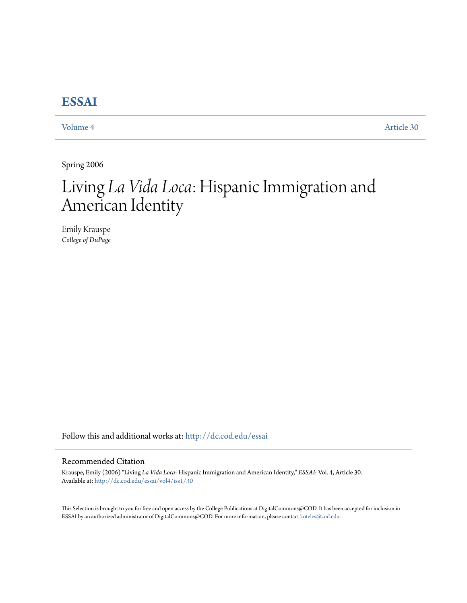## **[ESSAI](http://dc.cod.edu/essai?utm_source=dc.cod.edu%2Fessai%2Fvol4%2Fiss1%2F30&utm_medium=PDF&utm_campaign=PDFCoverPages)**

[Volume 4](http://dc.cod.edu/essai/vol4?utm_source=dc.cod.edu%2Fessai%2Fvol4%2Fiss1%2F30&utm_medium=PDF&utm_campaign=PDFCoverPages) [Article 30](http://dc.cod.edu/essai/vol4/iss1/30?utm_source=dc.cod.edu%2Fessai%2Fvol4%2Fiss1%2F30&utm_medium=PDF&utm_campaign=PDFCoverPages)

Spring 2006

# Living *La Vida Loca*: Hispanic Immigration and American Identity

Emily Krauspe *College of DuPage*

Follow this and additional works at: [http://dc.cod.edu/essai](http://dc.cod.edu/essai?utm_source=dc.cod.edu%2Fessai%2Fvol4%2Fiss1%2F30&utm_medium=PDF&utm_campaign=PDFCoverPages)

### Recommended Citation

Krauspe, Emily (2006) "Living *La Vida Loca*: Hispanic Immigration and American Identity," *ESSAI*: Vol. 4, Article 30. Available at: [http://dc.cod.edu/essai/vol4/iss1/30](http://dc.cod.edu/essai/vol4/iss1/30?utm_source=dc.cod.edu%2Fessai%2Fvol4%2Fiss1%2F30&utm_medium=PDF&utm_campaign=PDFCoverPages)

This Selection is brought to you for free and open access by the College Publications at DigitalCommons@COD. It has been accepted for inclusion in ESSAI by an authorized administrator of DigitalCommons@COD. For more information, please contact [koteles@cod.edu](mailto:koteles@cod.edu).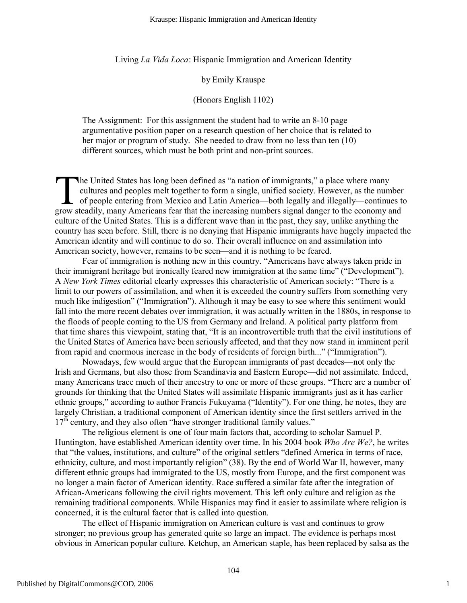Living *La Vida Loca*: Hispanic Immigration and American Identity

#### by Emily Krauspe

#### (Honors English 1102)

The Assignment: For this assignment the student had to write an 8-10 page argumentative position paper on a research question of her choice that is related to her major or program of study. She needed to draw from no less than ten (10) different sources, which must be both print and non-print sources.

he United States has long been defined as "a nation of immigrants," a place where many cultures and peoples melt together to form a single, unified society. However, as the number of people entering from Mexico and Latin America—both legally and illegally—continues to The United States has long been defined as "a nation of immigrants," a place where many cultures and peoples melt together to form a single, unified society. However, as the number of people entering from Mexico and Latin culture of the United States. This is a different wave than in the past, they say, unlike anything the country has seen before. Still, there is no denying that Hispanic immigrants have hugely impacted the American identity and will continue to do so. Their overall influence on and assimilation into American society, however, remains to be seen—and it is nothing to be feared.

Fear of immigration is nothing new in this country. "Americans have always taken pride in their immigrant heritage but ironically feared new immigration at the same time" ("Development"). A *New York Times* editorial clearly expresses this characteristic of American society: "There is a limit to our powers of assimilation, and when it is exceeded the country suffers from something very much like indigestion" ("Immigration"). Although it may be easy to see where this sentiment would fall into the more recent debates over immigration, it was actually written in the 1880s, in response to the floods of people coming to the US from Germany and Ireland. A political party platform from that time shares this viewpoint, stating that, "It is an incontrovertible truth that the civil institutions of the United States of America have been seriously affected, and that they now stand in imminent peril from rapid and enormous increase in the body of residents of foreign birth..." ("Immigration").

Nowadays, few would argue that the European immigrants of past decades—not only the Irish and Germans, but also those from Scandinavia and Eastern Europe—did not assimilate. Indeed, many Americans trace much of their ancestry to one or more of these groups. "There are a number of grounds for thinking that the United States will assimilate Hispanic immigrants just as it has earlier ethnic groups," according to author Francis Fukuyama ("Identity"). For one thing, he notes, they are largely Christian, a traditional component of American identity since the first settlers arrived in the  $17<sup>th</sup>$  century, and they also often "have stronger traditional family values."

The religious element is one of four main factors that, according to scholar Samuel P. Huntington, have established American identity over time. In his 2004 book *Who Are We?*, he writes that "the values, institutions, and culture" of the original settlers "defined America in terms of race, ethnicity, culture, and most importantly religion" (38). By the end of World War II, however, many different ethnic groups had immigrated to the US, mostly from Europe, and the first component was no longer a main factor of American identity. Race suffered a similar fate after the integration of African-Americans following the civil rights movement. This left only culture and religion as the remaining traditional components. While Hispanics may find it easier to assimilate where religion is concerned, it is the cultural factor that is called into question.

The effect of Hispanic immigration on American culture is vast and continues to grow stronger; no previous group has generated quite so large an impact. The evidence is perhaps most obvious in American popular culture. Ketchup, an American staple, has been replaced by salsa as the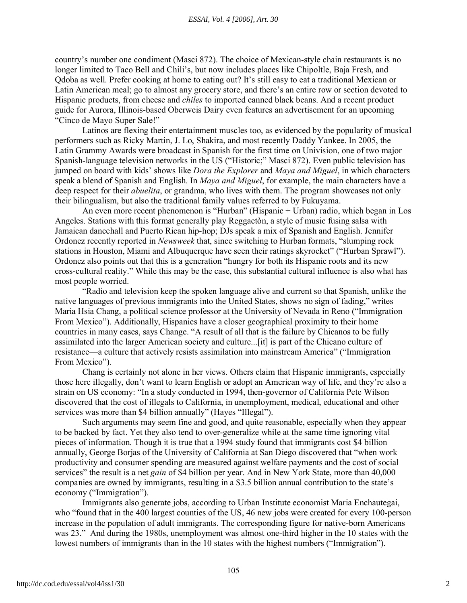country's number one condiment (Masci 872). The choice of Mexican-style chain restaurants is no longer limited to Taco Bell and Chili's, but now includes places like Chipoltle, Baja Fresh, and Qdoba as well. Prefer cooking at home to eating out? It's still easy to eat a traditional Mexican or Latin American meal; go to almost any grocery store, and there's an entire row or section devoted to Hispanic products, from cheese and *chiles* to imported canned black beans. And a recent product guide for Aurora, Illinois-based Oberweis Dairy even features an advertisement for an upcoming "Cinco de Mayo Super Sale!"

Latinos are flexing their entertainment muscles too, as evidenced by the popularity of musical performers such as Ricky Martin, J. Lo, Shakira, and most recently Daddy Yankee. In 2005, the Latin Grammy Awards were broadcast in Spanish for the first time on Univision, one of two major Spanish-language television networks in the US ("Historic;" Masci 872). Even public television has jumped on board with kids' shows like *Dora the Explorer* and *Maya and Miguel*, in which characters speak a blend of Spanish and English. In *Maya and Miguel*, for example, the main characters have a deep respect for their *abuelita*, or grandma, who lives with them. The program showcases not only their bilingualism, but also the traditional family values referred to by Fukuyama.

An even more recent phenomenon is "Hurban" (Hispanic + Urban) radio, which began in Los Angeles. Stations with this format generally play Reggaetòn, a style of music fusing salsa with Jamaican dancehall and Puerto Rican hip-hop; DJs speak a mix of Spanish and English. Jennifer Ordonez recently reported in *Newsweek* that, since switching to Hurban formats, "slumping rock stations in Houston, Miami and Albuquerque have seen their ratings skyrocket" ("Hurban Sprawl"). Ordonez also points out that this is a generation "hungry for both its Hispanic roots and its new cross-cultural reality." While this may be the case, this substantial cultural influence is also what has most people worried.

"Radio and television keep the spoken language alive and current so that Spanish, unlike the native languages of previous immigrants into the United States, shows no sign of fading," writes Maria Hsia Chang, a political science professor at the University of Nevada in Reno ("Immigration From Mexico"). Additionally, Hispanics have a closer geographical proximity to their home countries in many cases, says Change. "A result of all that is the failure by Chicanos to be fully assimilated into the larger American society and culture...[it] is part of the Chicano culture of resistance—a culture that actively resists assimilation into mainstream America" ("Immigration From Mexico").

Chang is certainly not alone in her views. Others claim that Hispanic immigrants, especially those here illegally, don't want to learn English or adopt an American way of life, and they're also a strain on US economy: "In a study conducted in 1994, then-governor of California Pete Wilson discovered that the cost of illegals to California, in unemployment, medical, educational and other services was more than \$4 billion annually" (Hayes "Illegal").

Such arguments may seem fine and good, and quite reasonable, especially when they appear to be backed by fact. Yet they also tend to over-generalize while at the same time ignoring vital pieces of information. Though it is true that a 1994 study found that immigrants cost \$4 billion annually, George Borjas of the University of California at San Diego discovered that "when work productivity and consumer spending are measured against welfare payments and the cost of social services" the result is a net *gain* of \$4 billion per year. And in New York State, more than 40,000 companies are owned by immigrants, resulting in a \$3.5 billion annual contribution to the state's economy ("Immigration").

Immigrants also generate jobs, according to Urban Institute economist Maria Enchautegai, who "found that in the 400 largest counties of the US, 46 new jobs were created for every 100-person increase in the population of adult immigrants. The corresponding figure for native-born Americans was 23." And during the 1980s, unemployment was almost one-third higher in the 10 states with the lowest numbers of immigrants than in the 10 states with the highest numbers ("Immigration").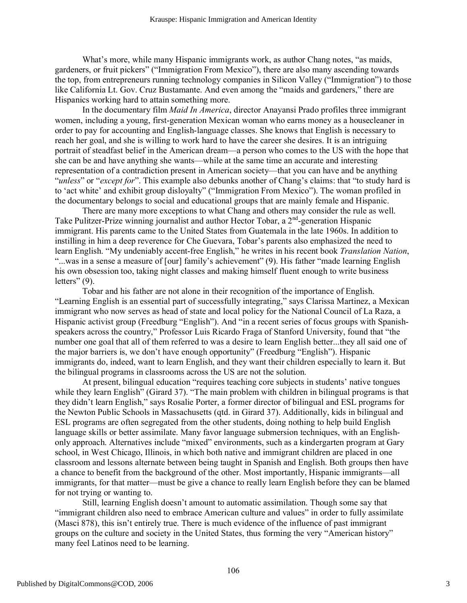What's more, while many Hispanic immigrants work, as author Chang notes, "as maids, gardeners, or fruit pickers" ("Immigration From Mexico"), there are also many ascending towards the top, from entrepreneurs running technology companies in Silicon Valley ("Immigration") to those like California Lt. Gov. Cruz Bustamante. And even among the "maids and gardeners," there are Hispanics working hard to attain something more.

In the documentary film *Maid In America*, director Anayansi Prado profiles three immigrant women, including a young, first-generation Mexican woman who earns money as a housecleaner in order to pay for accounting and English-language classes. She knows that English is necessary to reach her goal, and she is willing to work hard to have the career she desires. It is an intriguing portrait of steadfast belief in the American dream—a person who comes to the US with the hope that she can be and have anything she wants—while at the same time an accurate and interesting representation of a contradiction present in American society—that you can have and be anything "*unless*" or "*except for*". This example also debunks another of Chang's claims: that "to study hard is to 'act white' and exhibit group disloyalty" ("Immigration From Mexico"). The woman profiled in the documentary belongs to social and educational groups that are mainly female and Hispanic.

There are many more exceptions to what Chang and others may consider the rule as well. Take Pulitzer-Prize winning journalist and author Hector Tobar, a 2<sup>nd</sup>-generation Hispanic immigrant. His parents came to the United States from Guatemala in the late 1960s. In addition to instilling in him a deep reverence for Che Guevara, Tobar's parents also emphasized the need to learn English. "My undeniably accent-free English," he writes in his recent book *Translation Nation*, "...was in a sense a measure of [our] family's achievement" (9). His father "made learning English" his own obsession too, taking night classes and making himself fluent enough to write business letters" (9).

Tobar and his father are not alone in their recognition of the importance of English. "Learning English is an essential part of successfully integrating," says Clarissa Martinez, a Mexican immigrant who now serves as head of state and local policy for the National Council of La Raza, a Hispanic activist group (Freedburg "English"). And "in a recent series of focus groups with Spanishspeakers across the country," Professor Luis Ricardo Fraga of Stanford University, found that "the number one goal that all of them referred to was a desire to learn English better...they all said one of the major barriers is, we don't have enough opportunity" (Freedburg "English"). Hispanic immigrants do, indeed, want to learn English, and they want their children especially to learn it. But the bilingual programs in classrooms across the US are not the solution.

At present, bilingual education "requires teaching core subjects in students' native tongues while they learn English" (Girard 37). "The main problem with children in bilingual programs is that they didn't learn English," says Rosalie Porter, a former director of bilingual and ESL programs for the Newton Public Schools in Massachusetts (qtd. in Girard 37). Additionally, kids in bilingual and ESL programs are often segregated from the other students, doing nothing to help build English language skills or better assimilate. Many favor language submersion techniques, with an Englishonly approach. Alternatives include "mixed" environments, such as a kindergarten program at Gary school, in West Chicago, Illinois, in which both native and immigrant children are placed in one classroom and lessons alternate between being taught in Spanish and English. Both groups then have a chance to benefit from the background of the other. Most importantly, Hispanic immigrants—all immigrants, for that matter—must be give a chance to really learn English before they can be blamed for not trying or wanting to.

Still, learning English doesn't amount to automatic assimilation. Though some say that "immigrant children also need to embrace American culture and values" in order to fully assimilate (Masci 878), this isn't entirely true. There is much evidence of the influence of past immigrant groups on the culture and society in the United States, thus forming the very "American history" many feel Latinos need to be learning.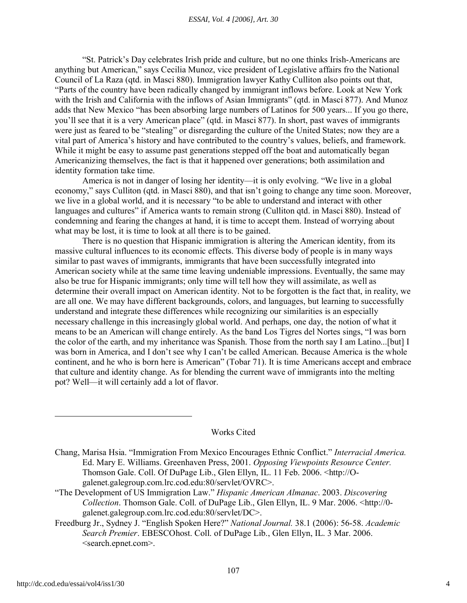#### *ESSAI, Vol. 4 [2006], Art. 30*

"St. Patrick's Day celebrates Irish pride and culture, but no one thinks Irish-Americans are anything but American," says Cecilia Munoz, vice president of Legislative affairs fro the National Council of La Raza (qtd. in Masci 880). Immigration lawyer Kathy Culliton also points out that, "Parts of the country have been radically changed by immigrant inflows before. Look at New York with the Irish and California with the inflows of Asian Immigrants" (qtd. in Masci 877). And Munoz adds that New Mexico "has been absorbing large numbers of Latinos for 500 years... If you go there, you'll see that it is a very American place" (qtd. in Masci 877). In short, past waves of immigrants were just as feared to be "stealing" or disregarding the culture of the United States; now they are a vital part of America's history and have contributed to the country's values, beliefs, and framework. While it might be easy to assume past generations stepped off the boat and automatically began Americanizing themselves, the fact is that it happened over generations; both assimilation and identity formation take time.

America is not in danger of losing her identity—it is only evolving. "We live in a global economy," says Culliton (qtd. in Masci 880), and that isn't going to change any time soon. Moreover, we live in a global world, and it is necessary "to be able to understand and interact with other languages and cultures" if America wants to remain strong (Culliton qtd. in Masci 880). Instead of condemning and fearing the changes at hand, it is time to accept them. Instead of worrying about what may be lost, it is time to look at all there is to be gained.

There is no question that Hispanic immigration is altering the American identity, from its massive cultural influences to its economic effects. This diverse body of people is in many ways similar to past waves of immigrants, immigrants that have been successfully integrated into American society while at the same time leaving undeniable impressions. Eventually, the same may also be true for Hispanic immigrants; only time will tell how they will assimilate, as well as determine their overall impact on American identity. Not to be forgotten is the fact that, in reality, we are all one. We may have different backgrounds, colors, and languages, but learning to successfully understand and integrate these differences while recognizing our similarities is an especially necessary challenge in this increasingly global world. And perhaps, one day, the notion of what it means to be an American will change entirely. As the band Los Tigres del Nortes sings, "I was born the color of the earth, and my inheritance was Spanish. Those from the north say I am Latino...[but] I was born in America, and I don't see why I can't be called American. Because America is the whole continent, and he who is born here is American" (Tobar 71). It is time Americans accept and embrace that culture and identity change. As for blending the current wave of immigrants into the melting pot? Well—it will certainly add a lot of flavor.

#### Works Cited

Chang, Marisa Hsia. "Immigration From Mexico Encourages Ethnic Conflict." *Interracial America.* Ed. Mary E. Williams. Greenhaven Press, 2001. *Opposing Viewpoints Resource Center.* Thomson Gale. Coll. Of DuPage Lib., Glen Ellyn, IL. 11 Feb. 2006. <http://Ogalenet.galegroup.com.lrc.cod.edu:80/servlet/OVRC>.

"The Development of US Immigration Law." *Hispanic American Almanac*. 2003. *Discovering Collection*. Thomson Gale. Coll. of DuPage Lib., Glen Ellyn, IL. 9 Mar. 2006. <http://0 galenet.galegroup.com.lrc.cod.edu:80/servlet/DC>.

Freedburg Jr., Sydney J. "English Spoken Here?" *National Journal.* 38.1 (2006): 56-58. *Academic Search Premier*. EBESCOhost. Coll. of DuPage Lib., Glen Ellyn, IL. 3 Mar. 2006. <search.epnet.com>.